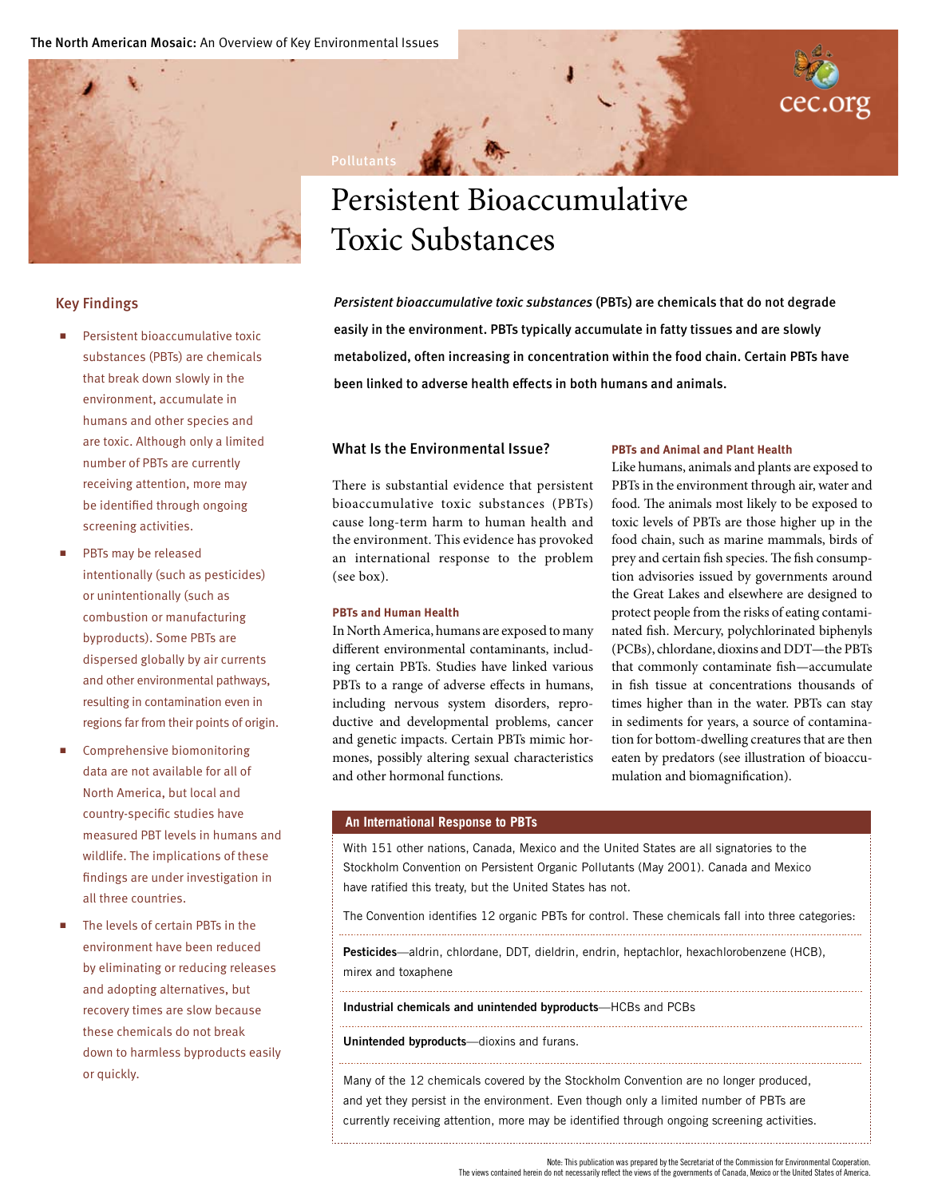

### Key Findings

- Persistent bioaccumulative toxic substances (PBTs) are chemicals that break down slowly in the environment, accumulate in humans and other species and are toxic. Although only a limited number of PBTs are currently receiving attention, more may be identified through ongoing screening activities.
- PBTs may be released intentionally (such as pesticides) or unintentionally (such as combustion or manufacturing byproducts). Some PBTs are dispersed globally by air currents and other environmental pathways, resulting in contamination even in regions far from their points of origin.
- Comprehensive biomonitoring data are not available for all of North America, but local and country-specific studies have measured PBT levels in humans and wildlife. The implications of these findings are under investigation in all three countries.
- The levels of certain PBTs in the environment have been reduced by eliminating or reducing releases and adopting alternatives, but recovery times are slow because these chemicals do not break down to harmless byproducts easily or quickly.



# Persistent Bioaccumulative Toxic Substances

*Persistent bioaccumulative toxic substances* (PBTs) are chemicals that do not degrade easily in the environment. PBTs typically accumulate in fatty tissues and are slowly metabolized, often increasing in concentration within the food chain. Certain PBTs have been linked to adverse health effects in both humans and animals.

# What Is the Environmental Issue?

There is substantial evidence that persistent bioaccumulative toxic substances (PBTs) cause long-term harm to human health and the environment. This evidence has provoked an international response to the problem (see box).

# **PBTs and Human Health**

In North America, humans are exposed to many different environmental contaminants, including certain PBTs. Studies have linked various PBTs to a range of adverse effects in humans, including nervous system disorders, reproductive and developmental problems, cancer and genetic impacts. Certain PBTs mimic hormones, possibly altering sexual characteristics and other hormonal functions.

#### **PBTs and Animal and Plant Health**

Like humans, animals and plants are exposed to PBTs in the environment through air, water and food. The animals most likely to be exposed to toxic levels of PBTs are those higher up in the food chain, such as marine mammals, birds of prey and certain fish species. The fish consumption advisories issued by governments around the Great Lakes and elsewhere are designed to protect people from the risks of eating contaminated fish. Mercury, polychlorinated biphenyls (PCBs), chlordane, dioxins and DDT—the PBTs that commonly contaminate fish—accumulate in fish tissue at concentrations thousands of times higher than in the water. PBTs can stay in sediments for years, a source of contamination for bottom-dwelling creatures that are then eaten by predators (see illustration of bioaccumulation and biomagnification).

# **An International Response to PBTs**

With 151 other nations, Canada, Mexico and the United States are all signatories to the Stockholm Convention on Persistent Organic Pollutants (May 2001). Canada and Mexico have ratified this treaty, but the United States has not.

The Convention identifies 12 organic PBTs for control. These chemicals fall into three categories:

Pesticides—aldrin, chlordane, DDT, dieldrin, endrin, heptachlor, hexachlorobenzene (HCB), mirex and toxaphene

Industrial chemicals and unintended byproducts—HCBs and PCBs

Unintended byproducts—dioxins and furans.

Many of the 12 chemicals covered by the Stockholm Convention are no longer produced, and yet they persist in the environment. Even though only a limited number of PBTs are currently receiving attention, more may be identified through ongoing screening activities.

The views contained herein do not necessarily reflect the views of the governments of Canada, Mexico or the United States of America.

Note: This publication was prepared by the Secretariat of the Commission for Environmental Cooperation.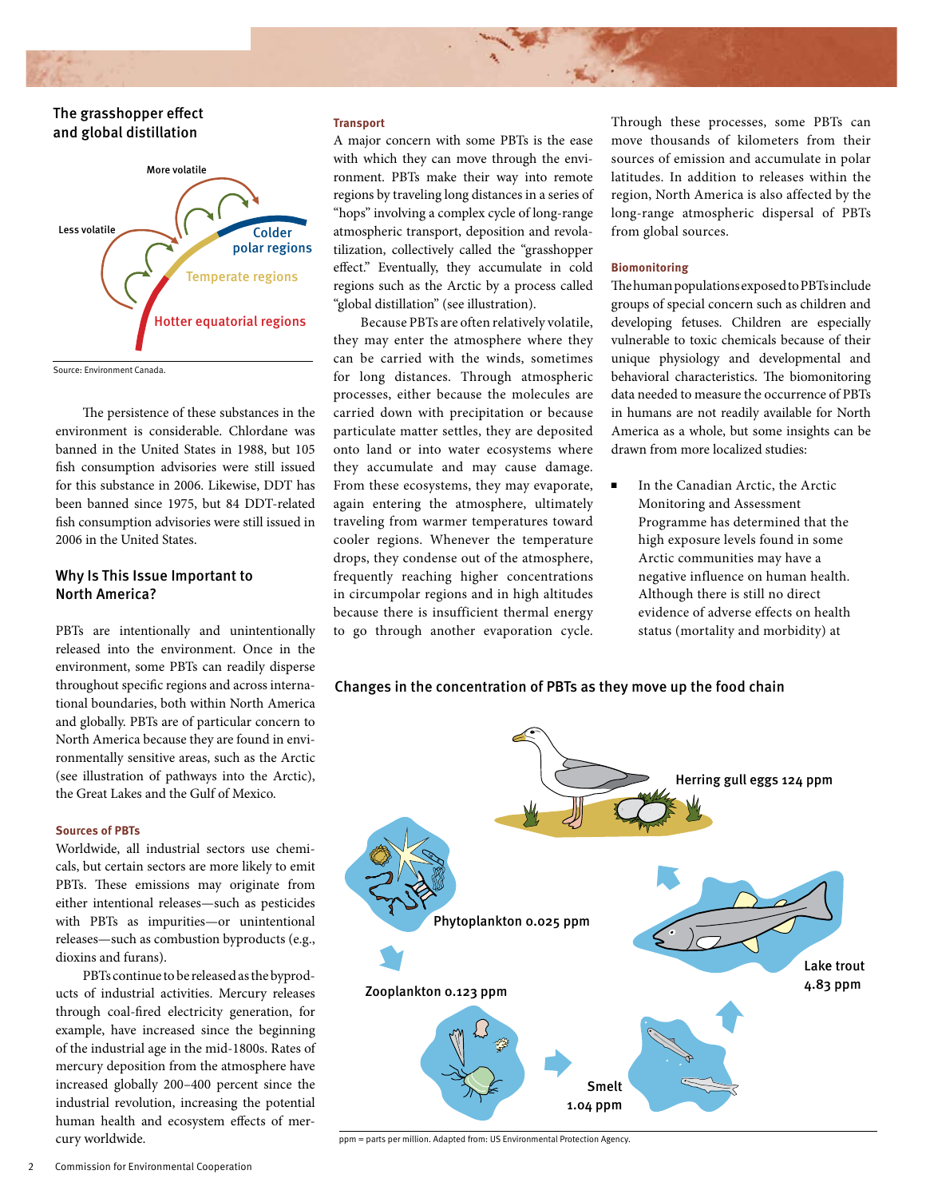# The grasshopper effect and global distillation



Source: Environment Canada.

The persistence of these substances in the environment is considerable. Chlordane was banned in the United States in 1988, but 105 fish consumption advisories were still issued for this substance in 2006. Likewise, DDT has been banned since 1975, but 84 DDT-related fish consumption advisories were still issued in 2006 in the United States.

# Why Is This Issue Important to North America?

PBTs are intentionally and unintentionally released into the environment. Once in the environment, some PBTs can readily disperse throughout specific regions and across international boundaries, both within North America and globally. PBTs are of particular concern to North America because they are found in environmentally sensitive areas, such as the Arctic (see illustration of pathways into the Arctic), the Great Lakes and the Gulf of Mexico.

#### **Sources of PBTs**

Worldwide, all industrial sectors use chemicals, but certain sectors are more likely to emit PBTs. These emissions may originate from either intentional releases—such as pesticides with PBTs as impurities—or unintentional releases—such as combustion byproducts (e.g., dioxins and furans).

PBTs continue to be released as the byproducts of industrial activities. Mercury releases through coal-fired electricity generation, for example, have increased since the beginning of the industrial age in the mid-1800s. Rates of mercury deposition from the atmosphere have increased globally 200–400 percent since the industrial revolution, increasing the potential human health and ecosystem effects of mercury worldwide.

#### **Transport**

A major concern with some PBTs is the ease with which they can move through the environment. PBTs make their way into remote regions by traveling long distances in a series of "hops" involving a complex cycle of long-range atmospheric transport, deposition and revolatilization, collectively called the "grasshopper effect." Eventually, they accumulate in cold regions such as the Arctic by a process called "global distillation" (see illustration).

Because PBTs are often relatively volatile, they may enter the atmosphere where they can be carried with the winds, sometimes for long distances. Through atmospheric processes, either because the molecules are carried down with precipitation or because particulate matter settles, they are deposited onto land or into water ecosystems where they accumulate and may cause damage. From these ecosystems, they may evaporate, again entering the atmosphere, ultimately traveling from warmer temperatures toward cooler regions. Whenever the temperature drops, they condense out of the atmosphere, frequently reaching higher concentrations in circumpolar regions and in high altitudes because there is insufficient thermal energy to go through another evaporation cycle. Through these processes, some PBTs can move thousands of kilometers from their sources of emission and accumulate in polar latitudes. In addition to releases within the region, North America is also affected by the long-range atmospheric dispersal of PBTs from global sources.

### **Biomonitoring**

The human populations exposed to PBTs include groups of special concern such as children and developing fetuses. Children are especially vulnerable to toxic chemicals because of their unique physiology and developmental and behavioral characteristics. The biomonitoring data needed to measure the occurrence of PBTs in humans are not readily available for North America as a whole, but some insights can be drawn from more localized studies:

■ In the Canadian Arctic, the Arctic Monitoring and Assessment Programme has determined that the high exposure levels found in some Arctic communities may have a negative influence on human health. Although there is still no direct evidence of adverse effects on health status (mortality and morbidity) at





ppm = parts per million. Adapted from: US Environmental Protection Agency.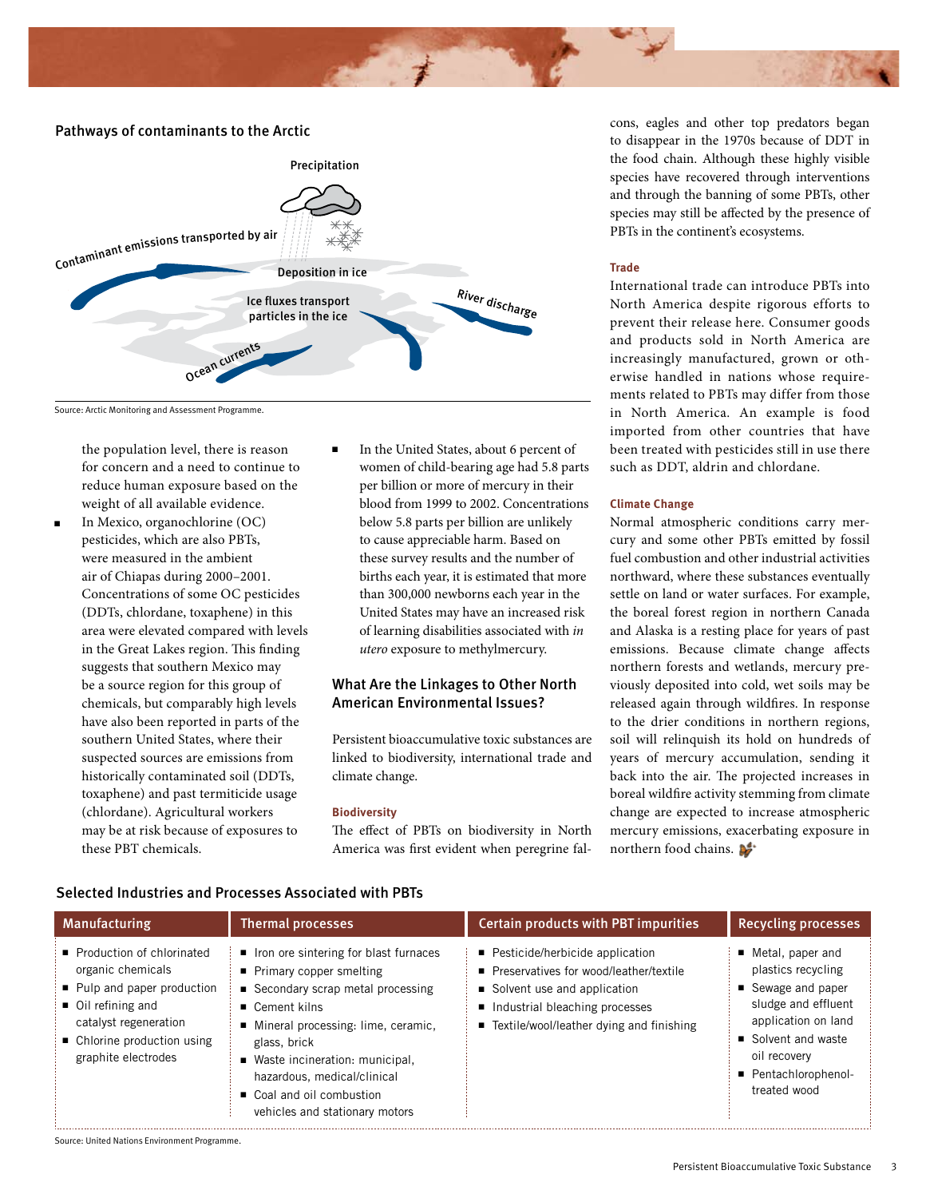

#### Pathways of contaminants to the Arctic



#### Source: Arctic Monitoring and Assessment Programme.

the population level, there is reason for concern and a need to continue to reduce human exposure based on the weight of all available evidence.

- <sup>n</sup> In Mexico, organochlorine (OC) pesticides, which are also PBTs, were measured in the ambient air of Chiapas during 2000–2001. Concentrations of some OC pesticides (DDTs, chlordane, toxaphene) in this area were elevated compared with levels in the Great Lakes region. This finding suggests that southern Mexico may be a source region for this group of chemicals, but comparably high levels have also been reported in parts of the southern United States, where their suspected sources are emissions from historically contaminated soil (DDTs, toxaphene) and past termiticide usage (chlordane). Agricultural workers may be at risk because of exposures to these PBT chemicals.
- <sup>n</sup> In the United States, about 6 percent of women of child-bearing age had 5.8 parts per billion or more of mercury in their blood from 1999 to 2002. Concentrations below 5.8 parts per billion are unlikely to cause appreciable harm. Based on these survey results and the number of births each year, it is estimated that more than 300,000 newborns each year in the United States may have an increased risk of learning disabilities associated with *in utero* exposure to methylmercury.

# What Are the Linkages to Other North American Environmental Issues?

Persistent bioaccumulative toxic substances are linked to biodiversity, international trade and climate change.

#### **Biodiversity**

The effect of PBTs on biodiversity in North America was first evident when peregrine falcons, eagles and other top predators began to disappear in the 1970s because of DDT in the food chain. Although these highly visible species have recovered through interventions and through the banning of some PBTs, other species may still be affected by the presence of PBTs in the continent's ecosystems.

#### **Trade**

International trade can introduce PBTs into North America despite rigorous efforts to prevent their release here. Consumer goods and products sold in North America are increasingly manufactured, grown or otherwise handled in nations whose requirements related to PBTs may differ from those in North America. An example is food imported from other countries that have been treated with pesticides still in use there such as DDT, aldrin and chlordane.

#### **Climate Change**

Normal atmospheric conditions carry mercury and some other PBTs emitted by fossil fuel combustion and other industrial activities northward, where these substances eventually settle on land or water surfaces. For example, the boreal forest region in northern Canada and Alaska is a resting place for years of past emissions. Because climate change affects northern forests and wetlands, mercury previously deposited into cold, wet soils may be released again through wildfires. In response to the drier conditions in northern regions, soil will relinquish its hold on hundreds of years of mercury accumulation, sending it back into the air. The projected increases in boreal wildfire activity stemming from climate change are expected to increase atmospheric mercury emissions, exacerbating exposure in northern food chains.

| Manufacturing                                                                                                                                                                                   | <b>Thermal processes</b>                                                                                                                                                                                                                                                                                                          | <b>Certain products with PBT impurities</b>                                                                                                                                                    | <b>Recycling processes</b>                                                                                                                                                                |
|-------------------------------------------------------------------------------------------------------------------------------------------------------------------------------------------------|-----------------------------------------------------------------------------------------------------------------------------------------------------------------------------------------------------------------------------------------------------------------------------------------------------------------------------------|------------------------------------------------------------------------------------------------------------------------------------------------------------------------------------------------|-------------------------------------------------------------------------------------------------------------------------------------------------------------------------------------------|
| Production of chlorinated<br>organic chemicals<br>■ Pulp and paper production<br>$\blacksquare$ Oil refining and<br>catalyst regeneration<br>• Chlorine production using<br>graphite electrodes | ■ Iron ore sintering for blast furnaces<br>■ Primary copper smelting<br>■ Secondary scrap metal processing<br>$\blacksquare$ Cement kilns<br>■ Mineral processing: lime, ceramic,<br>glass, brick<br>■ Waste incineration: municipal,<br>hazardous, medical/clinical<br>Coal and oil combustion<br>vehicles and stationary motors | ■ Pesticide/herbicide application<br>■ Preservatives for wood/leather/textile<br>■ Solvent use and application<br>Industrial bleaching processes<br>■ Textile/wool/leather dying and finishing | ■ Metal, paper and<br>plastics recycling<br>■ Sewage and paper<br>sludge and effluent<br>application on land<br>Solvent and waste<br>oil recovery<br>■ Pentachlorophenol-<br>treated wood |

### Selected Industries and Processes Associated with PBTs